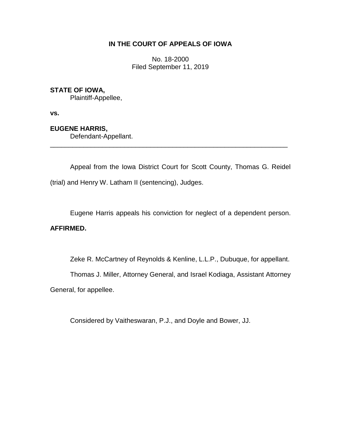# **IN THE COURT OF APPEALS OF IOWA**

No. 18-2000 Filed September 11, 2019

# **STATE OF IOWA,**

Plaintiff-Appellee,

**vs.**

## **EUGENE HARRIS,**

Defendant-Appellant.

Appeal from the Iowa District Court for Scott County, Thomas G. Reidel (trial) and Henry W. Latham II (sentencing), Judges.

\_\_\_\_\_\_\_\_\_\_\_\_\_\_\_\_\_\_\_\_\_\_\_\_\_\_\_\_\_\_\_\_\_\_\_\_\_\_\_\_\_\_\_\_\_\_\_\_\_\_\_\_\_\_\_\_\_\_\_\_\_\_\_\_

Eugene Harris appeals his conviction for neglect of a dependent person.

### **AFFIRMED.**

Zeke R. McCartney of Reynolds & Kenline, L.L.P., Dubuque, for appellant.

Thomas J. Miller, Attorney General, and Israel Kodiaga, Assistant Attorney

General, for appellee.

Considered by Vaitheswaran, P.J., and Doyle and Bower, JJ.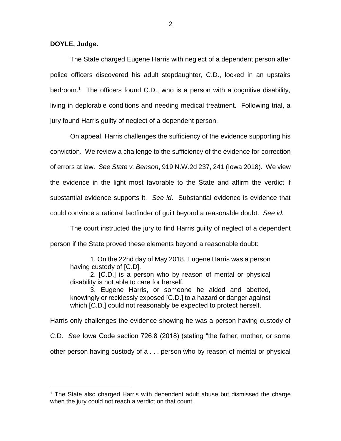**DOYLE, Judge.**

 $\overline{a}$ 

The State charged Eugene Harris with neglect of a dependent person after police officers discovered his adult stepdaughter, C.D., locked in an upstairs bedroom.<sup>1</sup> The officers found C.D., who is a person with a cognitive disability, living in deplorable conditions and needing medical treatment. Following trial, a jury found Harris guilty of neglect of a dependent person.

On appeal, Harris challenges the sufficiency of the evidence supporting his conviction. We review a challenge to the sufficiency of the evidence for correction of errors at law. *See State v. Benson*, 919 N.W.2d 237, 241 (Iowa 2018). We view the evidence in the light most favorable to the State and affirm the verdict if substantial evidence supports it. *See id*. Substantial evidence is evidence that could convince a rational factfinder of guilt beyond a reasonable doubt. *See id.*

The court instructed the jury to find Harris guilty of neglect of a dependent person if the State proved these elements beyond a reasonable doubt:

1. On the 22nd day of May 2018, Eugene Harris was a person having custody of [C.D].

2. [C.D.] is a person who by reason of mental or physical disability is not able to care for herself.

3. Eugene Harris, or someone he aided and abetted, knowingly or recklessly exposed [C.D.] to a hazard or danger against which [C.D.] could not reasonably be expected to protect herself.

Harris only challenges the evidence showing he was a person having custody of C.D. *See* Iowa Code section 726.8 (2018) (stating "the father, mother, or some other person having custody of a . . . person who by reason of mental or physical

<sup>&</sup>lt;sup>1</sup> The State also charged Harris with dependent adult abuse but dismissed the charge when the jury could not reach a verdict on that count.